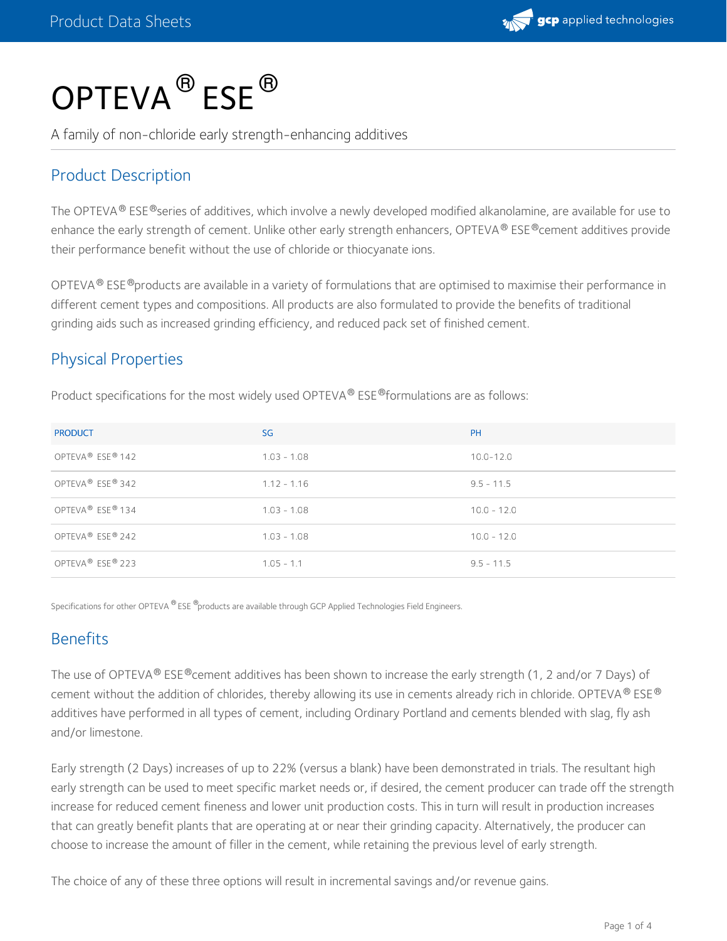

# $\mathsf{OPTEVA}^{\circledR}\mathsf{ESE}^{\circledR}$

A family of non-chloride early strength-enhancing additives

#### Product Description

The OPTEVA® ESE®series of additives, which involve a newly developed modified alkanolamine, are available for use to enhance the early strength of cement. Unlike other early strength enhancers, OPTEVA® ESE®cement additives provide their performance benefit without the use of chloride or thiocyanate ions.

OPTEVA  $^{\circledR}$  ESE  $^{\circledR}$ products are available in a variety of formulations that are optimised to maximise their performance in different cement types and compositions. All products are also formulated to provide the benefits of traditional grinding aids such as increased grinding efficiency, and reduced pack set of finished cement.

#### Physical Properties

Product specifications for the most widely used OPTEVA® ESE® formulations are as follows:

| <b>PRODUCT</b>                           | SG            | <b>PH</b>     |
|------------------------------------------|---------------|---------------|
| OPTEVA <sup>®</sup> ESE <sup>®</sup> 142 | $1.03 - 1.08$ | $10.0 - 12.0$ |
| OPTEVA® ESE® 342                         | $1.12 - 1.16$ | $9.5 - 11.5$  |
| OPTEVA® ESE® 134                         | $1.03 - 1.08$ | $10.0 - 12.0$ |
| OPTEVA <sup>®</sup> ESE® 242             | $1.03 - 1.08$ | $10.0 - 12.0$ |
| OPTEVA <sup>®</sup> ESE® 223             | $1.05 - 1.1$  | $9.5 - 11.5$  |

Specifications for other OPTEVA  $^{\circledR}$  ESE  $^{\circledR}$ products are available through GCP Applied Technologies Field Engineers.

#### **Benefits**

The use of OPTEVA® ESE®cement additives has been shown to increase the early strength (1, 2 and/or 7 Days) of cement without the addition of chlorides, thereby allowing its use in cements already rich in chloride. OPTEVA® ESE® additives have performed in all types of cement, including Ordinary Portland and cements blended with slag, fly ash and/or limestone.

Early strength (2 Days) increases of up to 22% (versus a blank) have been demonstrated in trials. The resultant high early strength can be used to meet specific market needs or, if desired, the cement producer can trade off the strength increase for reduced cement fineness and lower unit production costs. This in turn will result in production increases that can greatly benefit plants that are operating at or near their grinding capacity. Alternatively, the producer can choose to increase the amount of filler in the cement, while retaining the previous level of early strength.

The choice of any of these three options will result in incremental savings and/or revenue gains.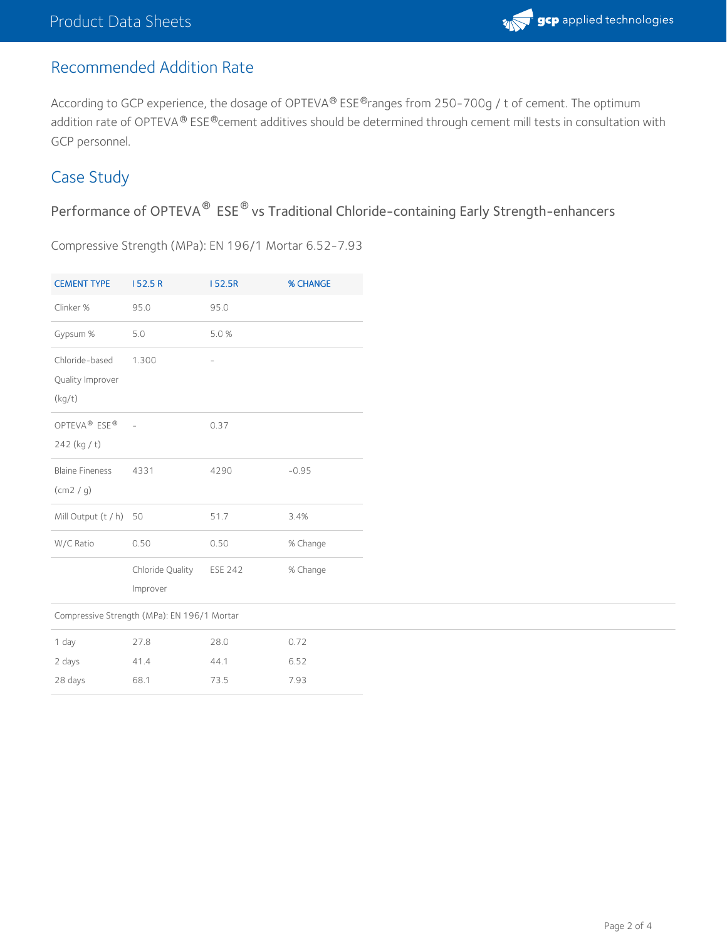## Recommended Addition Rate

According to GCP experience, the dosage of OPTEVA® ESE®ranges from 250-700g / t of cement. The optimum addition rate of OPTEVA® ESE®cement additives should be determined through cement mill tests in consultation with GCP personnel.

### Case Study

Performance of OPTEVA $^\circledR$  ESE $^\circledR$  vs Traditional Chloride-containing Early Strength-enhancers

Compressive Strength (MPa): EN 196/1 Mortar 6.52-7.93

| <b>CEMENT TYPE</b>                                   | 152.5R                       | 152.5R         | <b>% CHANGE</b> |  |
|------------------------------------------------------|------------------------------|----------------|-----------------|--|
| Clinker %                                            | 95.0                         | 95.0           |                 |  |
| Gypsum %                                             | 5.0                          | 5.0%           |                 |  |
| Chloride-based<br>Quality Improver<br>(kg/t)         | 1.300                        |                |                 |  |
| OPTEVA <sup>®</sup> ESE <sup>®</sup><br>242 (kg / t) |                              | 0.37           |                 |  |
| <b>Blaine Fineness</b><br>(cm2 / q)                  | 4331                         | 4290           | $-0.95$         |  |
| Mill Output (t / h)                                  | 50                           | 51.7           | 3.4%            |  |
| W/C Ratio                                            | 0.50                         | 0.50           | % Change        |  |
|                                                      | Chloride Quality<br>Improver | <b>ESE 242</b> | % Change        |  |
| Compressive Strength (MPa): EN 196/1 Mortar          |                              |                |                 |  |
| 1 day<br>2 days                                      | 27.8<br>41.4                 | 28.0<br>44.1   | 0.72<br>6.52    |  |
| 28 days                                              | 68.1                         | 73.5           | 7.93            |  |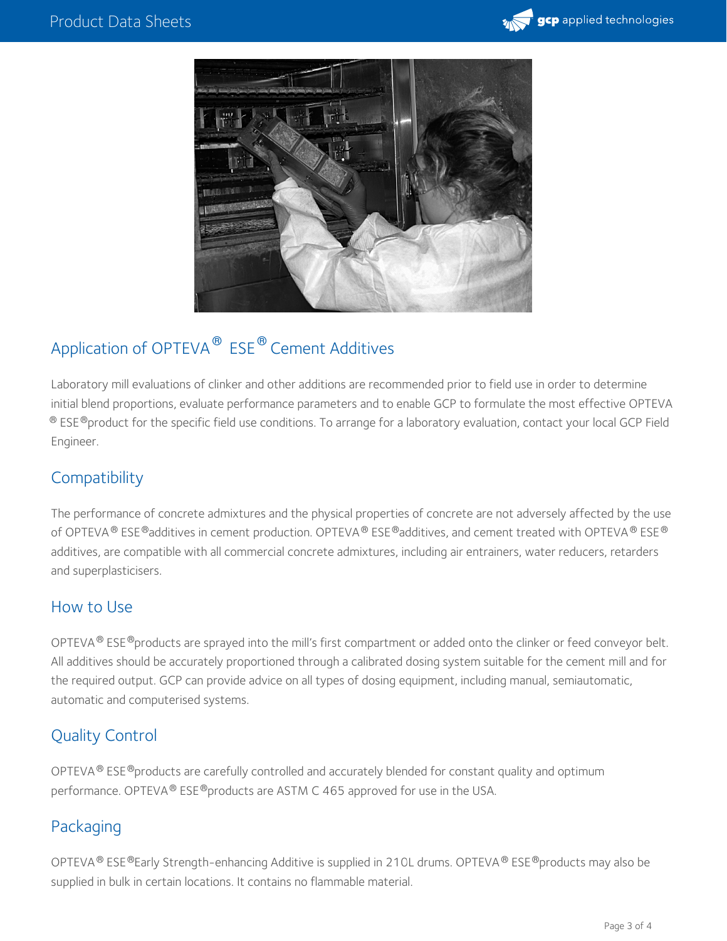



## Application of OPTEVA $^\circledR$  ESE $^\circledR$  Cement Additives

Laboratory mill evaluations of clinker and other additions are recommended prior to field use in order to determine initial blend proportions, evaluate performance parameters and to enable GCP to formulate the most effective OPTEVA  $^\circledR$  ESE $^\circledR$ product for the specific field use conditions. To arrange for a laboratory evaluation, contact your local GCP Field Engineer.

### **Compatibility**

The performance of concrete admixtures and the physical properties of concrete are not adversely affected by the use of OPTEVA  $^\circ$  ESE  $^\circ$ additives in cement production. OPTEVA  $^\circ$  ESE  $^\circ$ additives, and cement treated with OPTEVA  $^\circ$  ESE  $^\circ$ additives, are compatible with all commercial concrete admixtures, including air entrainers, water reducers, retarders and superplasticisers.

#### How to Use

OPTEVA $^{\circledR}$  ESE $^{\circledR}$ products are sprayed into the mill's first compartment or added onto the clinker or feed conveyor belt. All additives should be accurately proportioned through a calibrated dosing system suitable for the cement mill and for the required output. GCP can provide advice on all types of dosing equipment, including manual, semiautomatic, automatic and computerised systems.

#### Quality Control

OPTEVA $^\circledR$  ESE $^\circledR$ products are carefully controlled and accurately blended for constant quality and optimum performance. OPTEVA® ESE®products are ASTM C 465 approved for use in the USA.

#### Packaging

OPTEVA® ESE®Early Strength-enhancing Additive is supplied in 210L drums. OPTEVA® ESE®products may also be supplied in bulk in certain locations. It contains no flammable material.